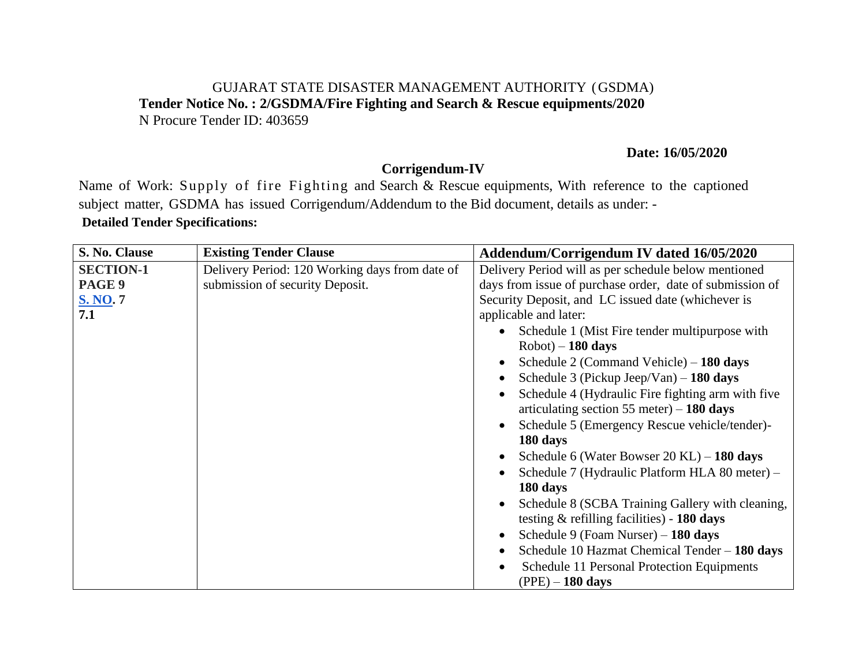#### GUJARAT STATE DISASTER MANAGEMENT AUTHORITY (GSDMA) **Tender Notice No. : 2/GSDMA/Fire Fighting and Search & Rescue equipments/2020**  N Procure Tender ID: 403659

#### **Date: 16/05/2020**

## **Corrigendum-IV**

Name of Work: Supply of fire Fighting and Search & Rescue equipments, With reference to the captioned subject matter, GSDMA has issued Corrigendum/Addendum to the Bid document, details as under: - **Detailed Tender Specifications:** 

| S. No. Clause                                        | <b>Existing Tender Clause</b>                                                     | Addendum/Corrigendum IV dated 16/05/2020                                                                                                                                                                                                                                                                                                                                                                                                                                                                                                                                                                                                                                                                                                                                                                                                                                                                                                                       |
|------------------------------------------------------|-----------------------------------------------------------------------------------|----------------------------------------------------------------------------------------------------------------------------------------------------------------------------------------------------------------------------------------------------------------------------------------------------------------------------------------------------------------------------------------------------------------------------------------------------------------------------------------------------------------------------------------------------------------------------------------------------------------------------------------------------------------------------------------------------------------------------------------------------------------------------------------------------------------------------------------------------------------------------------------------------------------------------------------------------------------|
| <b>SECTION-1</b><br>PAGE 9<br><b>S. NO. 7</b><br>7.1 | Delivery Period: 120 Working days from date of<br>submission of security Deposit. | Delivery Period will as per schedule below mentioned<br>days from issue of purchase order, date of submission of<br>Security Deposit, and LC issued date (whichever is<br>applicable and later:<br>Schedule 1 (Mist Fire tender multipurpose with<br>$\bullet$<br>$Robot$ – 180 days<br>Schedule 2 (Command Vehicle) $-180 \text{ days}$<br>$\bullet$<br>Schedule 3 (Pickup Jeep/Van) $-180$ days<br>$\bullet$<br>Schedule 4 (Hydraulic Fire fighting arm with five<br>articulating section 55 meter) $-180 \text{ days}$<br>Schedule 5 (Emergency Rescue vehicle/tender)-<br>$\bullet$<br>180 days<br>Schedule 6 (Water Bowser 20 KL) $-$ 180 days<br>$\bullet$<br>Schedule 7 (Hydraulic Platform HLA 80 meter) -<br>180 days<br>Schedule 8 (SCBA Training Gallery with cleaning,<br>testing $\&$ refilling facilities) - 180 days<br>Schedule 9 (Foam Nurser) $-180 \text{ days}$<br>Schedule 10 Hazmat Chemical Tender - 180 days<br>$\bullet$<br>$\bullet$ |
|                                                      |                                                                                   | Schedule 11 Personal Protection Equipments<br>$(PPE) - 180$ days                                                                                                                                                                                                                                                                                                                                                                                                                                                                                                                                                                                                                                                                                                                                                                                                                                                                                               |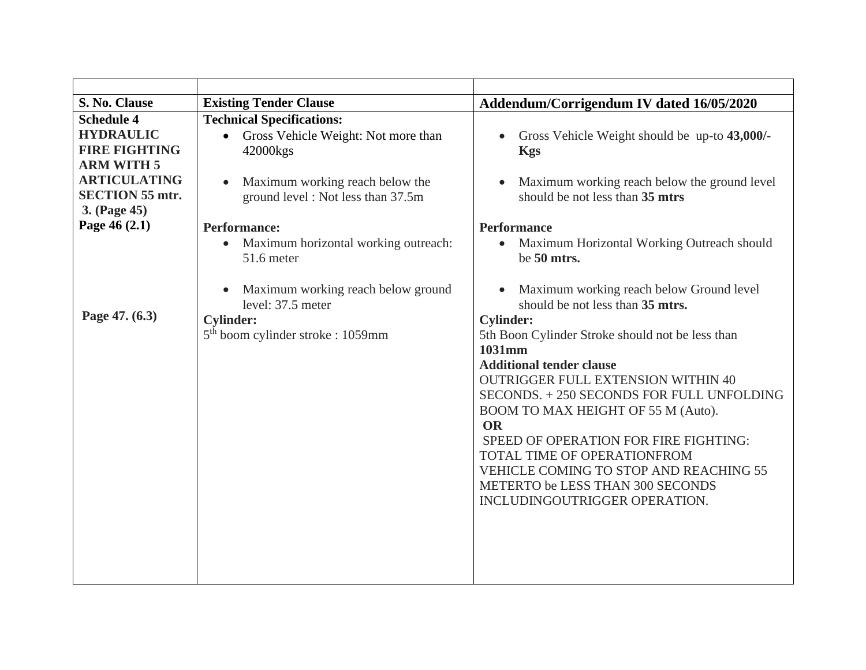| S. No. Clause                                                                                                                                                        | <b>Existing Tender Clause</b>                                                                                                                                                                   | Addendum/Corrigendum IV dated 16/05/2020                                                                                                                                                                                                                                                                                                                                                                                                                                                                                                                                                                                    |
|----------------------------------------------------------------------------------------------------------------------------------------------------------------------|-------------------------------------------------------------------------------------------------------------------------------------------------------------------------------------------------|-----------------------------------------------------------------------------------------------------------------------------------------------------------------------------------------------------------------------------------------------------------------------------------------------------------------------------------------------------------------------------------------------------------------------------------------------------------------------------------------------------------------------------------------------------------------------------------------------------------------------------|
| <b>Schedule 4</b><br><b>HYDRAULIC</b><br><b>FIRE FIGHTING</b><br><b>ARM WITH 5</b><br><b>ARTICULATING</b><br><b>SECTION 55 mtr.</b><br>3. (Page 45)<br>Page 46 (2.1) | <b>Technical Specifications:</b><br>Gross Vehicle Weight: Not more than<br>$\bullet$<br>42000kgs<br>Maximum working reach below the<br>ground level: Not less than 37.5m<br><b>Performance:</b> | Gross Vehicle Weight should be up-to 43,000/-<br>$\bullet$<br><b>Kgs</b><br>Maximum working reach below the ground level<br>$\bullet$<br>should be not less than 35 mtrs<br><b>Performance</b>                                                                                                                                                                                                                                                                                                                                                                                                                              |
| Page 47. (6.3)                                                                                                                                                       | Maximum horizontal working outreach:<br>$\bullet$<br>51.6 meter<br>Maximum working reach below ground<br>level: 37.5 meter<br><b>Cylinder:</b><br>5 <sup>th</sup> boom cylinder stroke : 1059mm | Maximum Horizontal Working Outreach should<br>$\bullet$<br>be 50 mtrs.<br>Maximum working reach below Ground level<br>$\bullet$<br>should be not less than 35 mtrs.<br><b>Cylinder:</b><br>5th Boon Cylinder Stroke should not be less than<br>1031mm<br><b>Additional tender clause</b><br><b>OUTRIGGER FULL EXTENSION WITHIN 40</b><br>SECONDS. +250 SECONDS FOR FULL UNFOLDING<br>BOOM TO MAX HEIGHT OF 55 M (Auto).<br><b>OR</b><br>SPEED OF OPERATION FOR FIRE FIGHTING:<br>TOTAL TIME OF OPERATIONFROM<br>VEHICLE COMING TO STOP AND REACHING 55<br>METERTO be LESS THAN 300 SECONDS<br>INCLUDINGOUTRIGGER OPERATION. |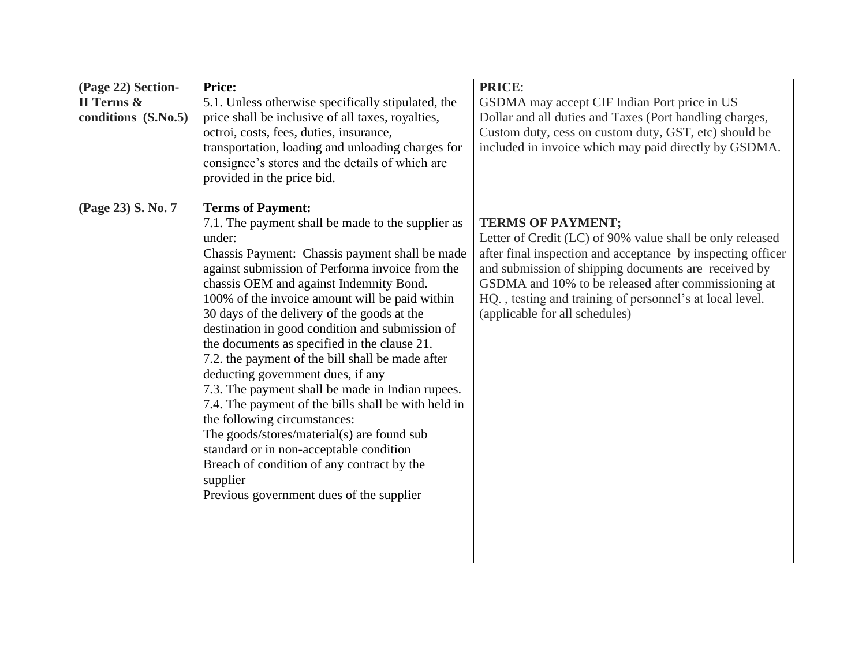| (Page 22) Section-  | <b>Price:</b>                                                                                                                                                                                                                                                                                                                                                                                                                                                                                                                                                                                                                                                                                                                                                                                                                                                                  | <b>PRICE:</b>                                                                                                                                                                                                                                                                                                                                                     |
|---------------------|--------------------------------------------------------------------------------------------------------------------------------------------------------------------------------------------------------------------------------------------------------------------------------------------------------------------------------------------------------------------------------------------------------------------------------------------------------------------------------------------------------------------------------------------------------------------------------------------------------------------------------------------------------------------------------------------------------------------------------------------------------------------------------------------------------------------------------------------------------------------------------|-------------------------------------------------------------------------------------------------------------------------------------------------------------------------------------------------------------------------------------------------------------------------------------------------------------------------------------------------------------------|
| II Terms &          | 5.1. Unless otherwise specifically stipulated, the                                                                                                                                                                                                                                                                                                                                                                                                                                                                                                                                                                                                                                                                                                                                                                                                                             | GSDMA may accept CIF Indian Port price in US                                                                                                                                                                                                                                                                                                                      |
| conditions (S.No.5) | price shall be inclusive of all taxes, royalties,<br>octroi, costs, fees, duties, insurance,<br>transportation, loading and unloading charges for<br>consignee's stores and the details of which are<br>provided in the price bid.                                                                                                                                                                                                                                                                                                                                                                                                                                                                                                                                                                                                                                             | Dollar and all duties and Taxes (Port handling charges,<br>Custom duty, cess on custom duty, GST, etc) should be<br>included in invoice which may paid directly by GSDMA.                                                                                                                                                                                         |
| (Page 23) S. No. 7  | <b>Terms of Payment:</b><br>7.1. The payment shall be made to the supplier as<br>under:<br>Chassis Payment: Chassis payment shall be made<br>against submission of Performa invoice from the<br>chassis OEM and against Indemnity Bond.<br>100% of the invoice amount will be paid within<br>30 days of the delivery of the goods at the<br>destination in good condition and submission of<br>the documents as specified in the clause 21.<br>7.2. the payment of the bill shall be made after<br>deducting government dues, if any<br>7.3. The payment shall be made in Indian rupees.<br>7.4. The payment of the bills shall be with held in<br>the following circumstances:<br>The goods/stores/material(s) are found sub<br>standard or in non-acceptable condition<br>Breach of condition of any contract by the<br>supplier<br>Previous government dues of the supplier | <b>TERMS OF PAYMENT;</b><br>Letter of Credit (LC) of 90% value shall be only released<br>after final inspection and acceptance by inspecting officer<br>and submission of shipping documents are received by<br>GSDMA and 10% to be released after commissioning at<br>HQ., testing and training of personnel's at local level.<br>(applicable for all schedules) |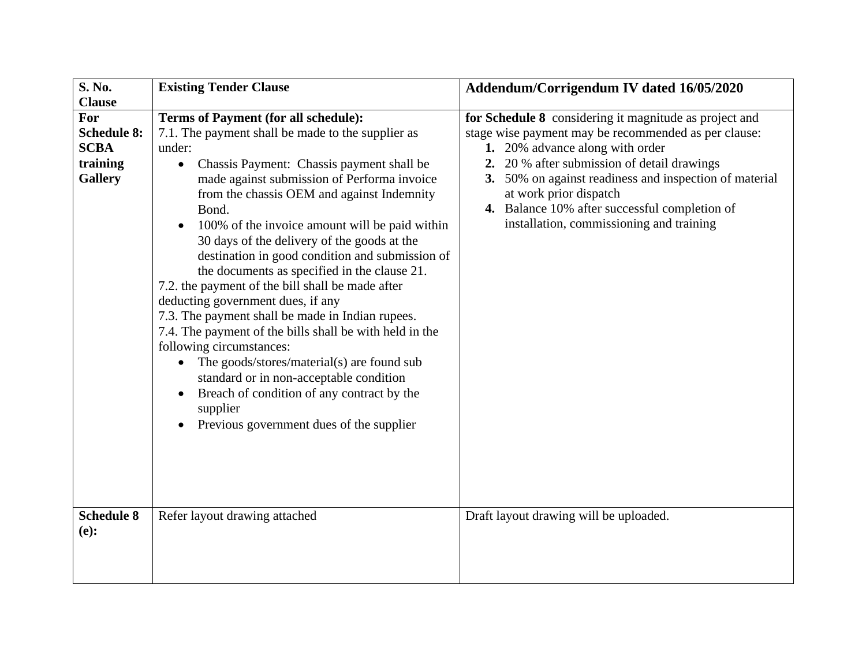| S. No.             | <b>Existing Tender Clause</b>                                                         | Addendum/Corrigendum IV dated 16/05/2020               |
|--------------------|---------------------------------------------------------------------------------------|--------------------------------------------------------|
| <b>Clause</b>      |                                                                                       |                                                        |
| For                | <b>Terms of Payment (for all schedule):</b>                                           | for Schedule 8 considering it magnitude as project and |
| <b>Schedule 8:</b> | 7.1. The payment shall be made to the supplier as                                     | stage wise payment may be recommended as per clause:   |
| <b>SCBA</b>        | under:                                                                                | 1. 20% advance along with order                        |
| training           | Chassis Payment: Chassis payment shall be<br>$\bullet$                                | 20 % after submission of detail drawings<br>2.         |
| <b>Gallery</b>     | made against submission of Performa invoice                                           | 3. 50% on against readiness and inspection of material |
|                    | from the chassis OEM and against Indemnity                                            | at work prior dispatch                                 |
|                    | Bond.                                                                                 | 4. Balance 10% after successful completion of          |
|                    | 100% of the invoice amount will be paid within                                        | installation, commissioning and training               |
|                    | 30 days of the delivery of the goods at the                                           |                                                        |
|                    | destination in good condition and submission of                                       |                                                        |
|                    | the documents as specified in the clause 21.                                          |                                                        |
|                    | 7.2. the payment of the bill shall be made after<br>deducting government dues, if any |                                                        |
|                    | 7.3. The payment shall be made in Indian rupees.                                      |                                                        |
|                    | 7.4. The payment of the bills shall be with held in the                               |                                                        |
|                    | following circumstances:                                                              |                                                        |
|                    | The goods/stores/material(s) are found sub                                            |                                                        |
|                    | standard or in non-acceptable condition                                               |                                                        |
|                    | Breach of condition of any contract by the                                            |                                                        |
|                    | supplier                                                                              |                                                        |
|                    | Previous government dues of the supplier                                              |                                                        |
|                    |                                                                                       |                                                        |
|                    |                                                                                       |                                                        |
|                    |                                                                                       |                                                        |
|                    |                                                                                       |                                                        |
|                    |                                                                                       |                                                        |
| <b>Schedule 8</b>  | Refer layout drawing attached                                                         | Draft layout drawing will be uploaded.                 |
| (e):               |                                                                                       |                                                        |
|                    |                                                                                       |                                                        |
|                    |                                                                                       |                                                        |
|                    |                                                                                       |                                                        |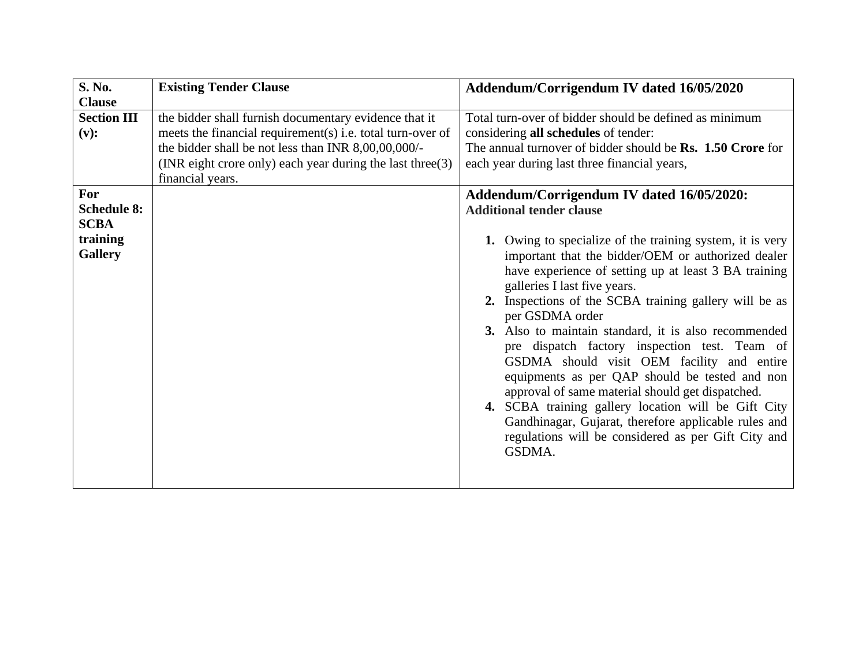| S. No.                                                                                               | <b>Existing Tender Clause</b>                                                                                                                                                                                                                                  | Addendum/Corrigendum IV dated 16/05/2020                                                                                                                                                                                                                                                                                                                                                                                                                                                                                                                                                                                                                                                      |
|------------------------------------------------------------------------------------------------------|----------------------------------------------------------------------------------------------------------------------------------------------------------------------------------------------------------------------------------------------------------------|-----------------------------------------------------------------------------------------------------------------------------------------------------------------------------------------------------------------------------------------------------------------------------------------------------------------------------------------------------------------------------------------------------------------------------------------------------------------------------------------------------------------------------------------------------------------------------------------------------------------------------------------------------------------------------------------------|
| <b>Clause</b>                                                                                        |                                                                                                                                                                                                                                                                |                                                                                                                                                                                                                                                                                                                                                                                                                                                                                                                                                                                                                                                                                               |
| <b>Section III</b><br>(v):<br>For<br><b>Schedule 8:</b><br><b>SCBA</b><br>training<br><b>Gallery</b> | the bidder shall furnish documentary evidence that it<br>meets the financial requirement(s) i.e. total turn-over of<br>the bidder shall be not less than INR 8,00,00,000/-<br>(INR eight crore only) each year during the last three $(3)$<br>financial years. | Total turn-over of bidder should be defined as minimum<br>considering all schedules of tender:<br>The annual turnover of bidder should be Rs. 1.50 Crore for<br>each year during last three financial years,<br>Addendum/Corrigendum IV dated 16/05/2020:<br><b>Additional tender clause</b><br>1. Owing to specialize of the training system, it is very<br>important that the bidder/OEM or authorized dealer<br>have experience of setting up at least 3 BA training<br>galleries I last five years.<br>2. Inspections of the SCBA training gallery will be as<br>per GSDMA order<br>3. Also to maintain standard, it is also recommended<br>pre dispatch factory inspection test. Team of |
|                                                                                                      |                                                                                                                                                                                                                                                                | GSDMA should visit OEM facility and entire<br>equipments as per QAP should be tested and non<br>approval of same material should get dispatched.<br>4. SCBA training gallery location will be Gift City                                                                                                                                                                                                                                                                                                                                                                                                                                                                                       |
|                                                                                                      |                                                                                                                                                                                                                                                                | Gandhinagar, Gujarat, therefore applicable rules and<br>regulations will be considered as per Gift City and<br>GSDMA.                                                                                                                                                                                                                                                                                                                                                                                                                                                                                                                                                                         |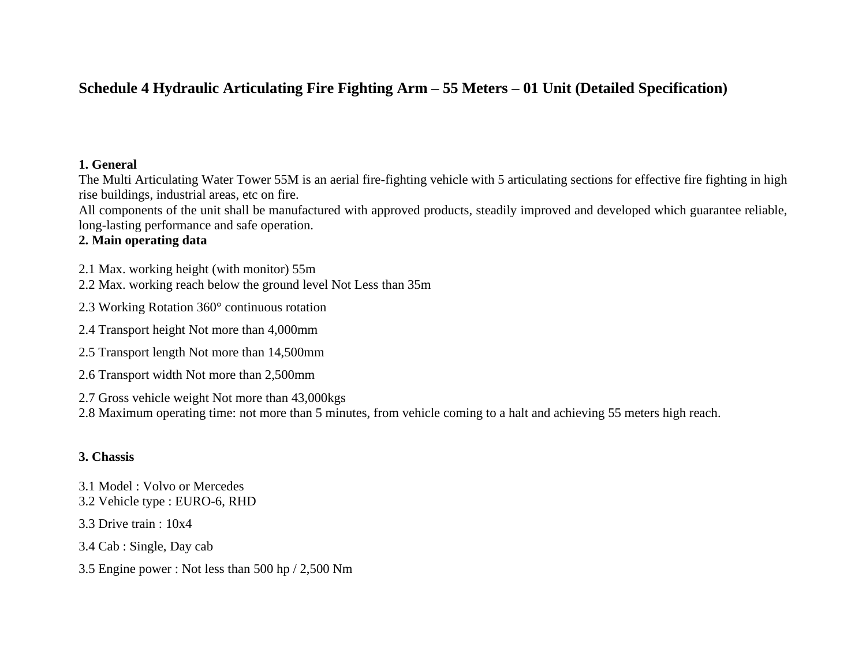# **Schedule 4 Hydraulic Articulating Fire Fighting Arm – 55 Meters – 01 Unit (Detailed Specification)**

#### **1. General**

The Multi Articulating Water Tower 55M is an aerial fire-fighting vehicle with 5 articulating sections for effective fire fighting in high rise buildings, industrial areas, etc on fire.

All components of the unit shall be manufactured with approved products, steadily improved and developed which guarantee reliable, long-lasting performance and safe operation.

#### **2. Main operating data**

2.1 Max. working height (with monitor) 55m

2.2 Max. working reach below the ground level Not Less than 35m

2.3 Working Rotation 360° continuous rotation

2.4 Transport height Not more than 4,000mm

2.5 Transport length Not more than 14,500mm

2.6 Transport width Not more than 2,500mm

2.7 Gross vehicle weight Not more than 43,000kgs

2.8 Maximum operating time: not more than 5 minutes, from vehicle coming to a halt and achieving 55 meters high reach.

#### **3. Chassis**

3.1 Model : Volvo or Mercedes 3.2 Vehicle type : EURO-6, RHD

3.3 Drive train : 10x4

3.4 Cab : Single, Day cab

3.5 Engine power : Not less than 500 hp / 2,500 Nm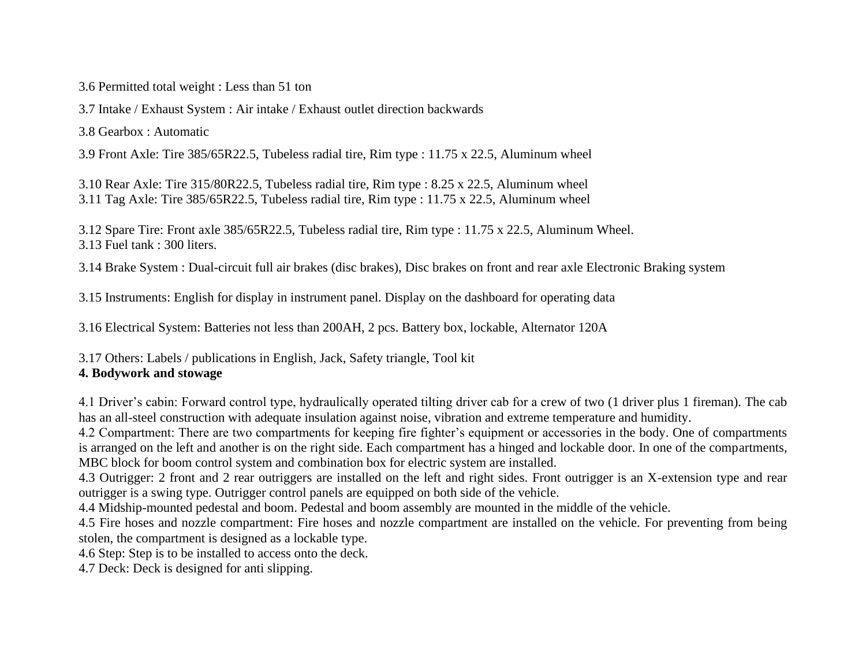3.6 Permitted total weight : Less than 51 ton

3.7 Intake / Exhaust System : Air intake / Exhaust outlet direction backwards

3.8 Gearbox : Automatic

3.9 Front Axle: Tire 385/65R22.5, Tubeless radial tire, Rim type : 11.75 x 22.5, Aluminum wheel

3.10 Rear Axle: Tire 315/80R22.5, Tubeless radial tire, Rim type : 8.25 x 22.5, Aluminum wheel 3.11 Tag Axle: Tire 385/65R22.5, Tubeless radial tire, Rim type : 11.75 x 22.5, Aluminum wheel

3.12 Spare Tire: Front axle 385/65R22.5, Tubeless radial tire, Rim type : 11.75 x 22.5, Aluminum Wheel. 3.13 Fuel tank : 300 liters.

3.14 Brake System : Dual-circuit full air brakes (disc brakes), Disc brakes on front and rear axle Electronic Braking system

3.15 Instruments: English for display in instrument panel. Display on the dashboard for operating data

3.16 Electrical System: Batteries not less than 200AH, 2 pcs. Battery box, lockable, Alternator 120A

3.17 Others: Labels / publications in English, Jack, Safety triangle, Tool kit

## **4. Bodywork and stowage**

4.1 Driver's cabin: Forward control type, hydraulically operated tilting driver cab for a crew of two (1 driver plus 1 fireman). The cab has an all-steel construction with adequate insulation against noise, vibration and extreme temperature and humidity.

4.2 Compartment: There are two compartments for keeping fire fighter's equipment or accessories in the body. One of compartments is arranged on the left and another is on the right side. Each compartment has a hinged and lockable door. In one of the compartments, MBC block for boom control system and combination box for electric system are installed.

4.3 Outrigger: 2 front and 2 rear outriggers are installed on the left and right sides. Front outrigger is an X-extension type and rear outrigger is a swing type. Outrigger control panels are equipped on both side of the vehicle.

4.4 Midship-mounted pedestal and boom. Pedestal and boom assembly are mounted in the middle of the vehicle.

4.5 Fire hoses and nozzle compartment: Fire hoses and nozzle compartment are installed on the vehicle. For preventing from being stolen, the compartment is designed as a lockable type.

4.6 Step: Step is to be installed to access onto the deck.

4.7 Deck: Deck is designed for anti slipping.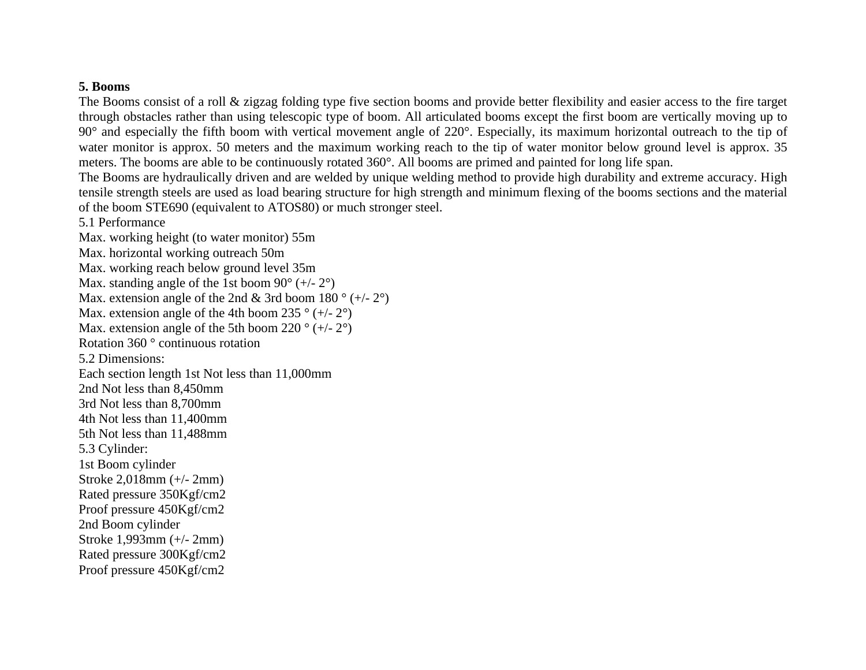#### **5. Booms**

The Booms consist of a roll & zigzag folding type five section booms and provide better flexibility and easier access to the fire target through obstacles rather than using telescopic type of boom. All articulated booms except the first boom are vertically moving up to 90° and especially the fifth boom with vertical movement angle of 220°. Especially, its maximum horizontal outreach to the tip of water monitor is approx. 50 meters and the maximum working reach to the tip of water monitor below ground level is approx. 35 meters. The booms are able to be continuously rotated 360°. All booms are primed and painted for long life span.

The Booms are hydraulically driven and are welded by unique welding method to provide high durability and extreme accuracy. High tensile strength steels are used as load bearing structure for high strength and minimum flexing of the booms sections and the material of the boom STE690 (equivalent to ATOS80) or much stronger steel.

5.1 Performance

Max. working height (to water monitor) 55m Max. horizontal working outreach 50m Max. working reach below ground level 35m Max. standing angle of the 1st boom  $90^{\circ}$  (+/-  $2^{\circ}$ ) Max. extension angle of the 2nd & 3rd boom 180  $^{\circ}$  (+/- 2 $^{\circ}$ ) Max. extension angle of the 4th boom 235  $\degree$  (+/- 2 $\degree$ ) Max. extension angle of the 5th boom 220  $\degree$  (+/- 2 $\degree$ ) Rotation 360 ° continuous rotation 5.2 Dimensions: Each section length 1st Not less than 11,000mm 2nd Not less than 8,450mm 3rd Not less than 8,700mm 4th Not less than 11,400mm 5th Not less than 11,488mm 5.3 Cylinder: 1st Boom cylinder Stroke 2,018mm (+/- 2mm) Rated pressure 350Kgf/cm2 Proof pressure 450Kgf/cm2 2nd Boom cylinder Stroke 1,993mm (+/- 2mm) Rated pressure 300Kgf/cm2 Proof pressure 450Kgf/cm2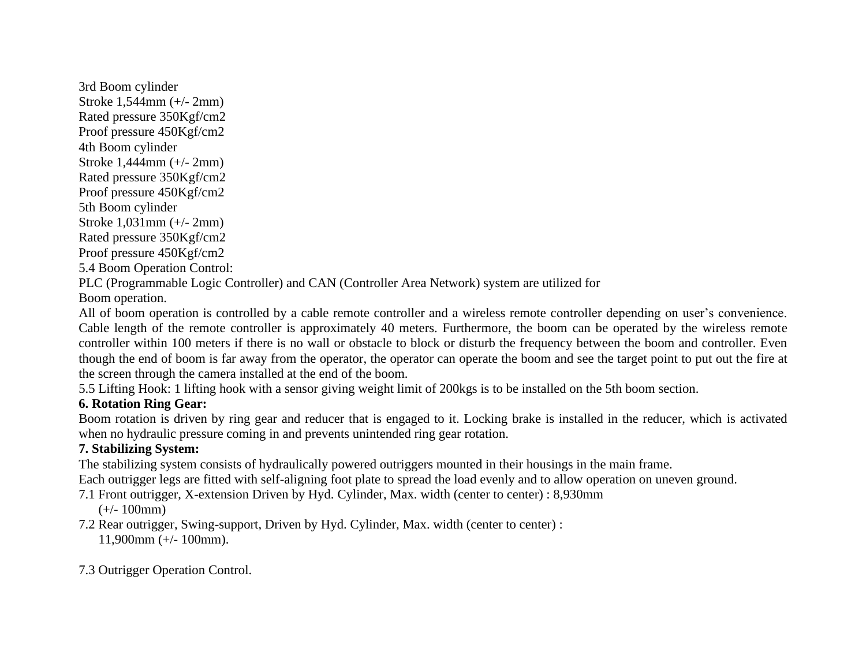3rd Boom cylinder Stroke 1,544mm (+/- 2mm) Rated pressure 350Kgf/cm2 Proof pressure 450Kgf/cm2 4th Boom cylinder Stroke 1,444mm (+/- 2mm) Rated pressure 350Kgf/cm2 Proof pressure 450Kgf/cm2 5th Boom cylinder Stroke 1,031mm (+/- 2mm) Rated pressure 350Kgf/cm2 Proof pressure 450Kgf/cm2 5.4 Boom Operation Control:

PLC (Programmable Logic Controller) and CAN (Controller Area Network) system are utilized for

Boom operation.

All of boom operation is controlled by a cable remote controller and a wireless remote controller depending on user's convenience. Cable length of the remote controller is approximately 40 meters. Furthermore, the boom can be operated by the wireless remote controller within 100 meters if there is no wall or obstacle to block or disturb the frequency between the boom and controller. Even though the end of boom is far away from the operator, the operator can operate the boom and see the target point to put out the fire at the screen through the camera installed at the end of the boom.

5.5 Lifting Hook: 1 lifting hook with a sensor giving weight limit of 200kgs is to be installed on the 5th boom section.

# **6. Rotation Ring Gear:**

Boom rotation is driven by ring gear and reducer that is engaged to it. Locking brake is installed in the reducer, which is activated when no hydraulic pressure coming in and prevents unintended ring gear rotation.

# **7. Stabilizing System:**

The stabilizing system consists of hydraulically powered outriggers mounted in their housings in the main frame.

Each outrigger legs are fitted with self-aligning foot plate to spread the load evenly and to allow operation on uneven ground.

7.1 Front outrigger, X-extension Driven by Hyd. Cylinder, Max. width (center to center) : 8,930mm

 $(+/- 100$ mm)

7.2 Rear outrigger, Swing-support, Driven by Hyd. Cylinder, Max. width (center to center) : 11,900mm (+/- 100mm).

7.3 Outrigger Operation Control.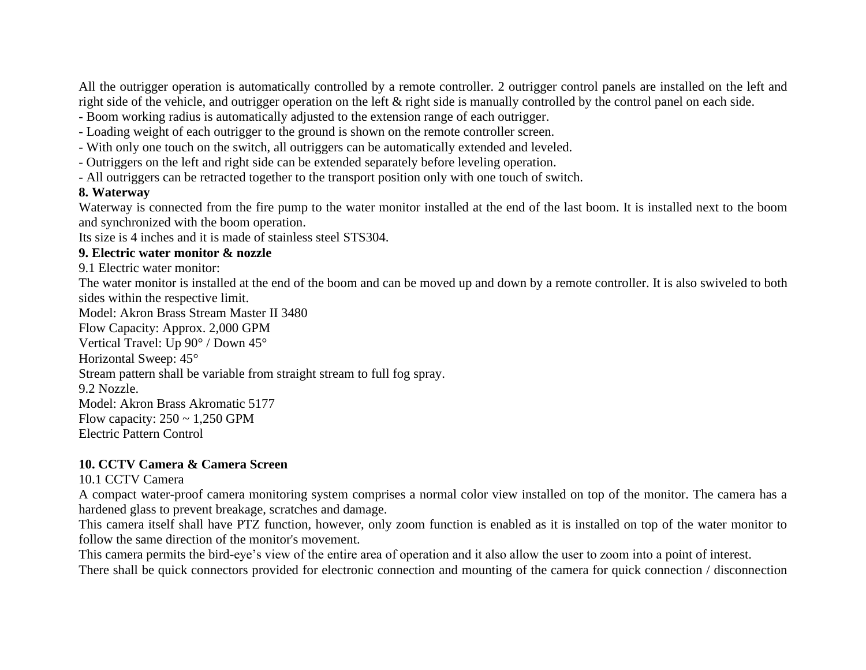All the outrigger operation is automatically controlled by a remote controller. 2 outrigger control panels are installed on the left and right side of the vehicle, and outrigger operation on the left & right side is manually controlled by the control panel on each side.

- Boom working radius is automatically adjusted to the extension range of each outrigger.
- Loading weight of each outrigger to the ground is shown on the remote controller screen.
- With only one touch on the switch, all outriggers can be automatically extended and leveled.
- Outriggers on the left and right side can be extended separately before leveling operation.
- All outriggers can be retracted together to the transport position only with one touch of switch.

#### **8. Waterway**

Waterway is connected from the fire pump to the water monitor installed at the end of the last boom. It is installed next to the boom and synchronized with the boom operation.

Its size is 4 inches and it is made of stainless steel STS304.

#### **9. Electric water monitor & nozzle**

9.1 Electric water monitor:

The water monitor is installed at the end of the boom and can be moved up and down by a remote controller. It is also swiveled to both sides within the respective limit.

Model: Akron Brass Stream Master II 3480 Flow Capacity: Approx. 2,000 GPM

Vertical Travel: Up 90° / Down 45°

Horizontal Sweep: 45°

Stream pattern shall be variable from straight stream to full fog spray.

9.2 Nozzle.

Model: Akron Brass Akromatic 5177

Flow capacity:  $250 \sim 1,250$  GPM

Electric Pattern Control

#### **10. CCTV Camera & Camera Screen**

#### 10.1 CCTV Camera

A compact water-proof camera monitoring system comprises a normal color view installed on top of the monitor. The camera has a hardened glass to prevent breakage, scratches and damage.

This camera itself shall have PTZ function, however, only zoom function is enabled as it is installed on top of the water monitor to follow the same direction of the monitor's movement.

This camera permits the bird-eye's view of the entire area of operation and it also allow the user to zoom into a point of interest.

There shall be quick connectors provided for electronic connection and mounting of the camera for quick connection / disconnection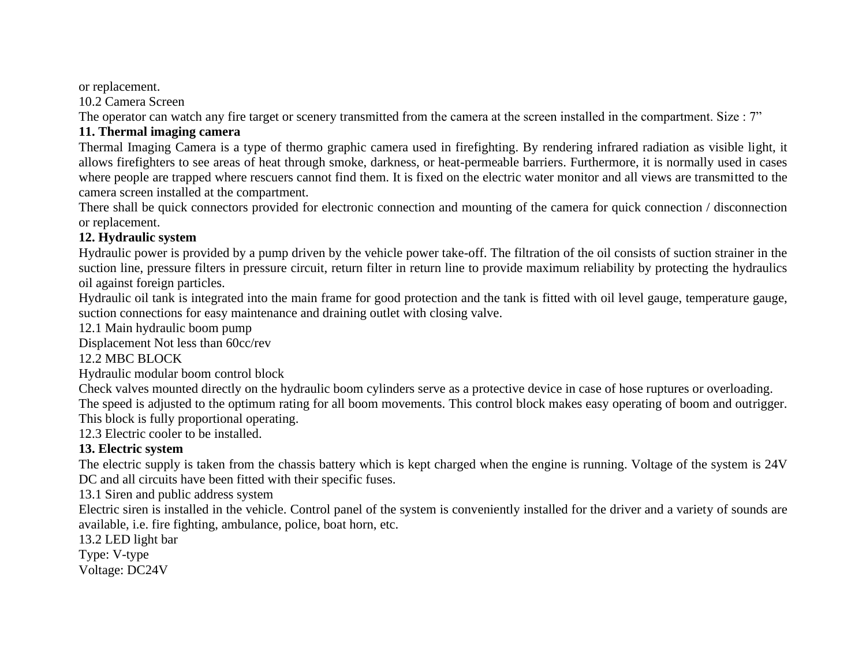or replacement.

10.2 Camera Screen

The operator can watch any fire target or scenery transmitted from the camera at the screen installed in the compartment. Size : 7"

## **11. Thermal imaging camera**

Thermal Imaging Camera is a type of thermo graphic camera used in firefighting. By rendering infrared radiation as visible light, it allows firefighters to see areas of heat through smoke, darkness, or heat-permeable barriers. Furthermore, it is normally used in cases where people are trapped where rescuers cannot find them. It is fixed on the electric water monitor and all views are transmitted to the camera screen installed at the compartment.

There shall be quick connectors provided for electronic connection and mounting of the camera for quick connection / disconnection or replacement.

#### **12. Hydraulic system**

Hydraulic power is provided by a pump driven by the vehicle power take-off. The filtration of the oil consists of suction strainer in the suction line, pressure filters in pressure circuit, return filter in return line to provide maximum reliability by protecting the hydraulics oil against foreign particles.

Hydraulic oil tank is integrated into the main frame for good protection and the tank is fitted with oil level gauge, temperature gauge, suction connections for easy maintenance and draining outlet with closing valve.

12.1 Main hydraulic boom pump

Displacement Not less than 60cc/rev

## 12.2 MBC BLOCK

Hydraulic modular boom control block

Check valves mounted directly on the hydraulic boom cylinders serve as a protective device in case of hose ruptures or overloading. The speed is adjusted to the optimum rating for all boom movements. This control block makes easy operating of boom and outrigger. This block is fully proportional operating.

12.3 Electric cooler to be installed.

## **13. Electric system**

The electric supply is taken from the chassis battery which is kept charged when the engine is running. Voltage of the system is 24V DC and all circuits have been fitted with their specific fuses.

13.1 Siren and public address system

Electric siren is installed in the vehicle. Control panel of the system is conveniently installed for the driver and a variety of sounds are available, i.e. fire fighting, ambulance, police, boat horn, etc.

13.2 LED light bar

Type: V-type

Voltage: DC24V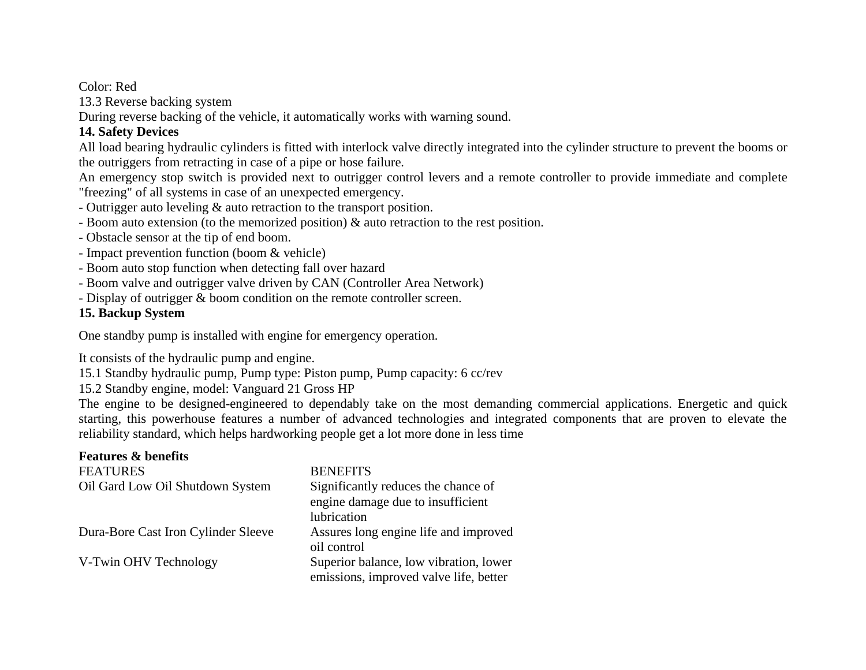Color: Red

13.3 Reverse backing system

During reverse backing of the vehicle, it automatically works with warning sound.

## **14. Safety Devices**

All load bearing hydraulic cylinders is fitted with interlock valve directly integrated into the cylinder structure to prevent the booms or the outriggers from retracting in case of a pipe or hose failure.

An emergency stop switch is provided next to outrigger control levers and a remote controller to provide immediate and complete "freezing" of all systems in case of an unexpected emergency.

- Outrigger auto leveling & auto retraction to the transport position.
- Boom auto extension (to the memorized position) & auto retraction to the rest position.
- Obstacle sensor at the tip of end boom.
- Impact prevention function (boom & vehicle)
- Boom auto stop function when detecting fall over hazard
- Boom valve and outrigger valve driven by CAN (Controller Area Network)
- Display of outrigger & boom condition on the remote controller screen.

#### **15. Backup System**

One standby pump is installed with engine for emergency operation.

It consists of the hydraulic pump and engine.

15.1 Standby hydraulic pump, Pump type: Piston pump, Pump capacity: 6 cc/rev

15.2 Standby engine, model: Vanguard 21 Gross HP

The engine to be designed-engineered to dependably take on the most demanding commercial applications. Energetic and quick starting, this powerhouse features a number of advanced technologies and integrated components that are proven to elevate the reliability standard, which helps hardworking people get a lot more done in less time

| <b>Features &amp; benefits</b>      |                                        |
|-------------------------------------|----------------------------------------|
| <b>FEATURES</b>                     | <b>BENEFITS</b>                        |
| Oil Gard Low Oil Shutdown System    | Significantly reduces the chance of    |
|                                     | engine damage due to insufficient      |
|                                     | lubrication                            |
| Dura-Bore Cast Iron Cylinder Sleeve | Assures long engine life and improved  |
|                                     | oil control                            |
| V-Twin OHV Technology               | Superior balance, low vibration, lower |
|                                     | emissions, improved valve life, better |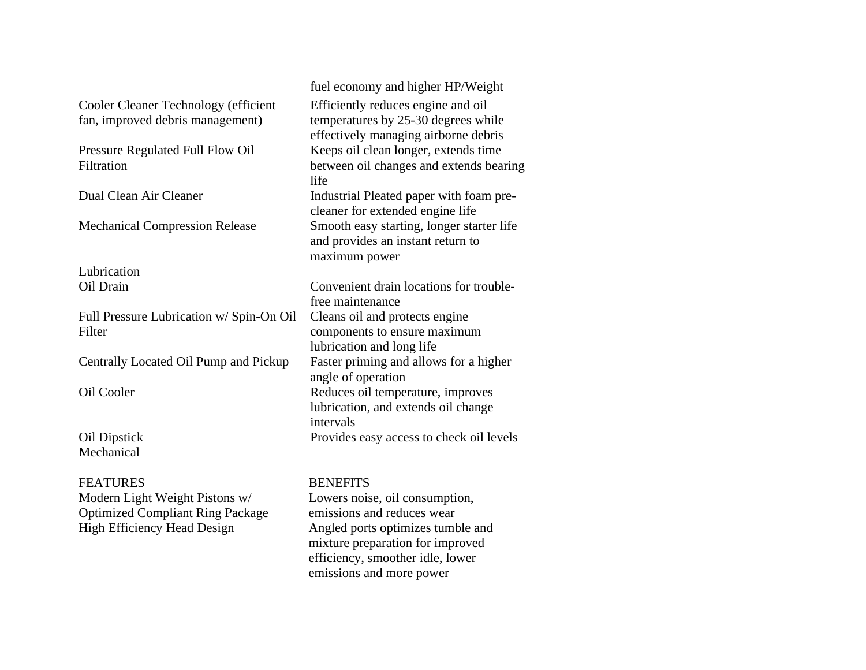Cooler Cleaner Technology (efficient fan, improved debris management)

Pressure Regulated Full Flow Oil **Filtration** 

Lubrication

Full Pressure Lubrication w/ Spin-On Oil Filter

Centrally Located Oil Pump and Pickup Faster priming and allows for a higher

Mechanical

FEATURES BENEFITS Modern Light Weight Pistons w/ Optimized Compliant Ring Package High Efficiency Head Design Angled ports optimizes tumble and

fuel economy and higher HP/Weight Efficiently reduces engine and oil temperatures by 25-30 degrees while effectively managing airborne debris Keeps oil clean longer, extends time between oil changes and extends bearing life Dual Clean Air Cleaner Industrial Pleated paper with foam precleaner for extended engine life Mechanical Compression Release Smooth easy starting, longer starter life and provides an instant return to maximum power

Oil Drain Convenient drain locations for troublefree maintenance Cleans oil and protects engine components to ensure maximum lubrication and long life angle of operation Oil Cooler Reduces oil temperature, improves lubrication, and extends oil change intervals Oil Dipstick Provides easy access to check oil levels

Lowers noise, oil consumption, emissions and reduces wear mixture preparation for improved efficiency, smoother idle, lower emissions and more power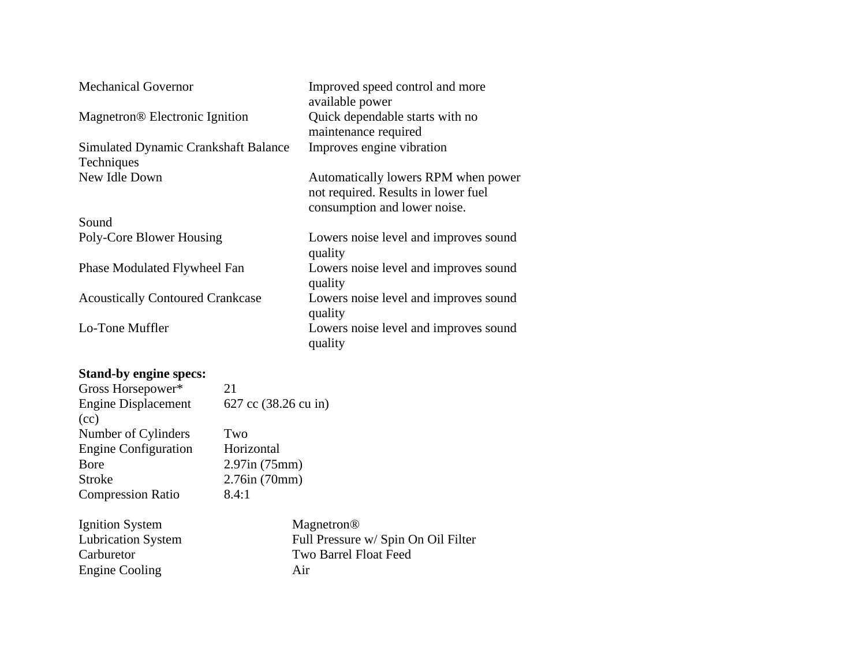| <b>Mechanical Governor</b>                         | Improved speed control and more<br>available power                                                         |
|----------------------------------------------------|------------------------------------------------------------------------------------------------------------|
| Magnetron <sup>®</sup> Electronic Ignition         | Quick dependable starts with no<br>maintenance required                                                    |
| Simulated Dynamic Crankshaft Balance<br>Techniques | Improves engine vibration                                                                                  |
| New Idle Down                                      | Automatically lowers RPM when power<br>not required. Results in lower fuel<br>consumption and lower noise. |
| Sound                                              |                                                                                                            |
| Poly-Core Blower Housing                           | Lowers noise level and improves sound<br>quality                                                           |
| Phase Modulated Flywheel Fan                       | Lowers noise level and improves sound<br>quality                                                           |
| <b>Acoustically Contoured Crankcase</b>            | Lowers noise level and improves sound<br>quality                                                           |
| Lo-Tone Muffler                                    | Lowers noise level and improves sound<br>quality                                                           |
| $\alpha$ , $\mathbf{11}$                           |                                                                                                            |

#### **Stand-by engine specs:**

| Gross Horsepower*           | 21                                                                |
|-----------------------------|-------------------------------------------------------------------|
| <b>Engine Displacement</b>  | 627 cc (38.26 cu in)                                              |
| (cc)                        |                                                                   |
| Number of Cylinders         | Two                                                               |
| <b>Engine Configuration</b> | Horizontal                                                        |
| Bore                        | $2.97$ in (75mm)                                                  |
| <b>Stroke</b>               | 2.76in(70mm)                                                      |
| <b>Compression Ratio</b>    | 8.4:1                                                             |
| Ignition System             | Magnetron <sup>®</sup>                                            |
| <b>TI''</b> TI              | $\Gamma$ 11 $\Gamma$ $\Gamma$ $\Gamma$ $\Gamma$ $\Gamma$ $\Gamma$ |

Engine Cooling Air

Lubrication System Full Pressure w/ Spin On Oil Filter Carburetor Two Barrel Float Feed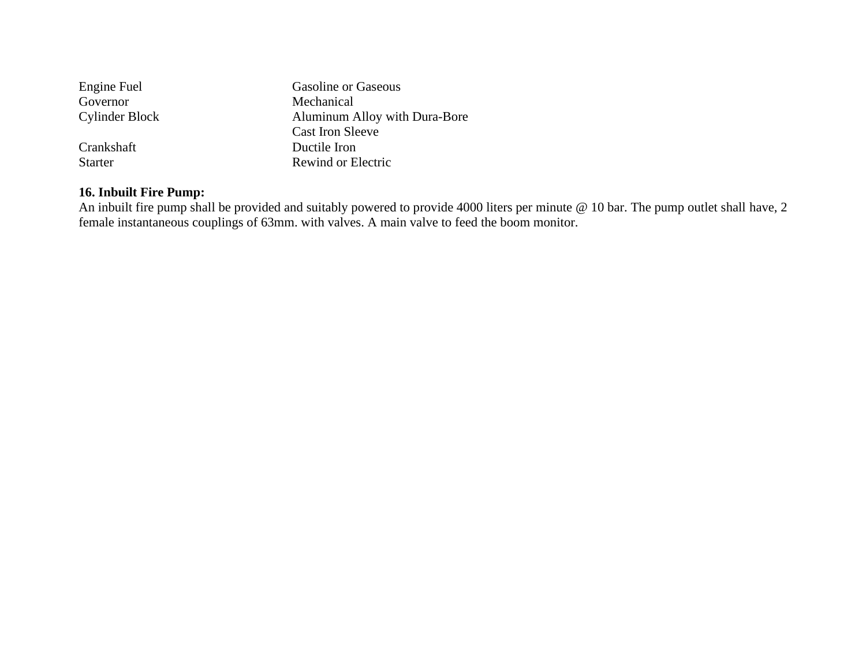| Engine Fuel           | <b>Gasoline or Gaseous</b>    |
|-----------------------|-------------------------------|
| Governor              | Mechanical                    |
| <b>Cylinder Block</b> | Aluminum Alloy with Dura-Bore |
|                       | <b>Cast Iron Sleeve</b>       |
| Crankshaft            | Ductile Iron                  |
| <b>Starter</b>        | Rewind or Electric            |

## **16. Inbuilt Fire Pump:**

An inbuilt fire pump shall be provided and suitably powered to provide 4000 liters per minute @ 10 bar. The pump outlet shall have, 2 female instantaneous couplings of 63mm. with valves. A main valve to feed the boom monitor.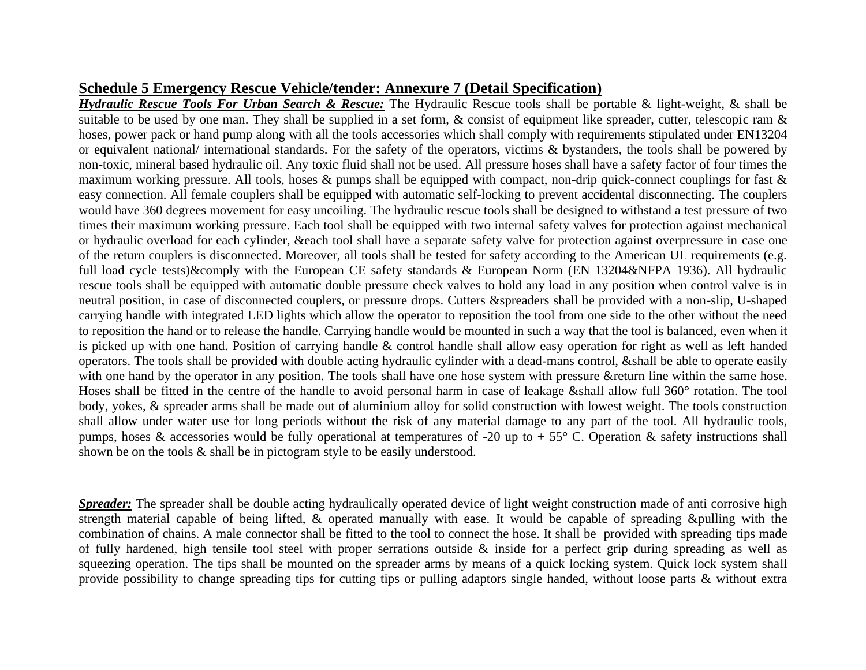#### **Schedule 5 Emergency Rescue Vehicle/tender: Annexure 7 (Detail Specification)**

*Hydraulic Rescue Tools For Urban Search & Rescue:* The Hydraulic Rescue tools shall be portable & light-weight, & shall be suitable to be used by one man. They shall be supplied in a set form, & consist of equipment like spreader, cutter, telescopic ram & hoses, power pack or hand pump along with all the tools accessories which shall comply with requirements stipulated under EN13204 or equivalent national/ international standards. For the safety of the operators, victims & bystanders, the tools shall be powered by non-toxic, mineral based hydraulic oil. Any toxic fluid shall not be used. All pressure hoses shall have a safety factor of four times the maximum working pressure. All tools, hoses & pumps shall be equipped with compact, non-drip quick-connect couplings for fast & easy connection. All female couplers shall be equipped with automatic self-locking to prevent accidental disconnecting. The couplers would have 360 degrees movement for easy uncoiling. The hydraulic rescue tools shall be designed to withstand a test pressure of two times their maximum working pressure. Each tool shall be equipped with two internal safety valves for protection against mechanical or hydraulic overload for each cylinder, &each tool shall have a separate safety valve for protection against overpressure in case one of the return couplers is disconnected. Moreover, all tools shall be tested for safety according to the American UL requirements (e.g. full load cycle tests)&comply with the European CE safety standards & European Norm (EN 13204&NFPA 1936). All hydraulic rescue tools shall be equipped with automatic double pressure check valves to hold any load in any position when control valve is in neutral position, in case of disconnected couplers, or pressure drops. Cutters &spreaders shall be provided with a non-slip, U-shaped carrying handle with integrated LED lights which allow the operator to reposition the tool from one side to the other without the need to reposition the hand or to release the handle. Carrying handle would be mounted in such a way that the tool is balanced, even when it is picked up with one hand. Position of carrying handle & control handle shall allow easy operation for right as well as left handed operators. The tools shall be provided with double acting hydraulic cylinder with a dead-mans control, &shall be able to operate easily with one hand by the operator in any position. The tools shall have one hose system with pressure &return line within the same hose. Hoses shall be fitted in the centre of the handle to avoid personal harm in case of leakage &shall allow full 360° rotation. The tool body, yokes, & spreader arms shall be made out of aluminium alloy for solid construction with lowest weight. The tools construction shall allow under water use for long periods without the risk of any material damage to any part of the tool. All hydraulic tools, pumps, hoses & accessories would be fully operational at temperatures of -20 up to + 55° C. Operation & safety instructions shall shown be on the tools & shall be in pictogram style to be easily understood.

*Spreader:* The spreader shall be double acting hydraulically operated device of light weight construction made of anti corrosive high strength material capable of being lifted, & operated manually with ease. It would be capable of spreading &pulling with the combination of chains. A male connector shall be fitted to the tool to connect the hose. It shall be provided with spreading tips made of fully hardened, high tensile tool steel with proper serrations outside  $\&$  inside for a perfect grip during spreading as well as squeezing operation. The tips shall be mounted on the spreader arms by means of a quick locking system. Quick lock system shall provide possibility to change spreading tips for cutting tips or pulling adaptors single handed, without loose parts & without extra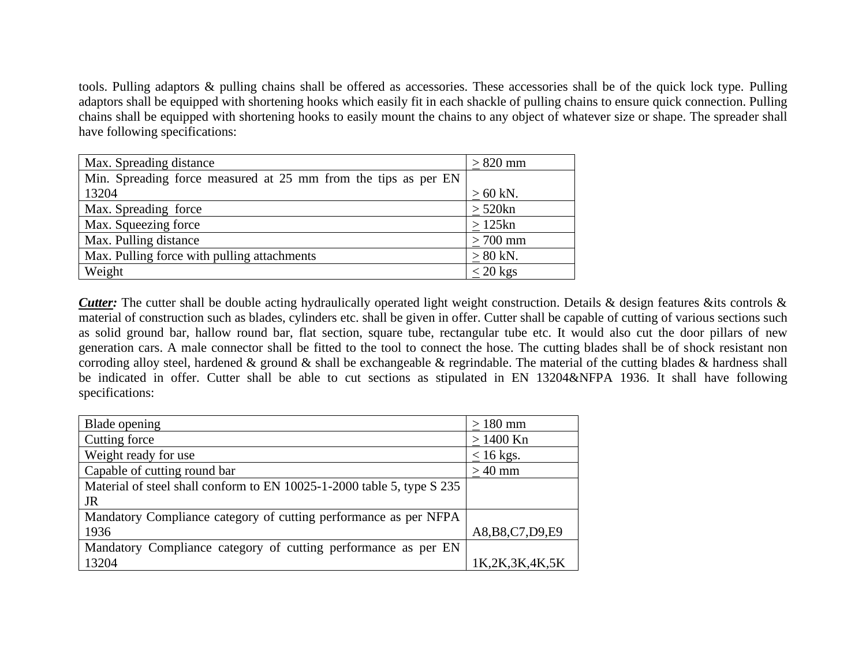tools. Pulling adaptors & pulling chains shall be offered as accessories. These accessories shall be of the quick lock type. Pulling adaptors shall be equipped with shortening hooks which easily fit in each shackle of pulling chains to ensure quick connection. Pulling chains shall be equipped with shortening hooks to easily mount the chains to any object of whatever size or shape. The spreader shall have following specifications:

| Max. Spreading distance                                        | $>820$ mm  |
|----------------------------------------------------------------|------------|
| Min. Spreading force measured at 25 mm from the tips as per EN |            |
| 13204                                                          | $>60$ kN.  |
| Max. Spreading force                                           | $> 520$ kn |
| Max. Squeezing force                                           | $>125$ kn  |
| Max. Pulling distance                                          | $>700$ mm  |
| Max. Pulling force with pulling attachments                    | $> 80$ kN. |
| Weight                                                         | $<$ 20 kgs |

*Cutter*: The cutter shall be double acting hydraulically operated light weight construction. Details & design features &its controls & material of construction such as blades, cylinders etc. shall be given in offer. Cutter shall be capable of cutting of various sections such as solid ground bar, hallow round bar, flat section, square tube, rectangular tube etc. It would also cut the door pillars of new generation cars. A male connector shall be fitted to the tool to connect the hose. The cutting blades shall be of shock resistant non corroding alloy steel, hardened  $\&$  ground  $\&$  shall be exchangeable  $\&$  regrindable. The material of the cutting blades  $\&$  hardness shall be indicated in offer. Cutter shall be able to cut sections as stipulated in EN 13204&NFPA 1936. It shall have following specifications:

| Blade opening                                                          | $>180$ mm          |
|------------------------------------------------------------------------|--------------------|
| Cutting force                                                          | $> 1400$ Kn        |
| Weight ready for use                                                   | $\leq 16$ kgs.     |
| Capable of cutting round bar                                           | $>40$ mm           |
| Material of steel shall conform to EN 10025-1-2000 table 5, type S 235 |                    |
| JR                                                                     |                    |
| Mandatory Compliance category of cutting performance as per NFPA       |                    |
| 1936                                                                   | A8, B8, C7, D9, E9 |
| Mandatory Compliance category of cutting performance as per EN         |                    |
| 13204                                                                  | 1K,2K,3K,4K,5K     |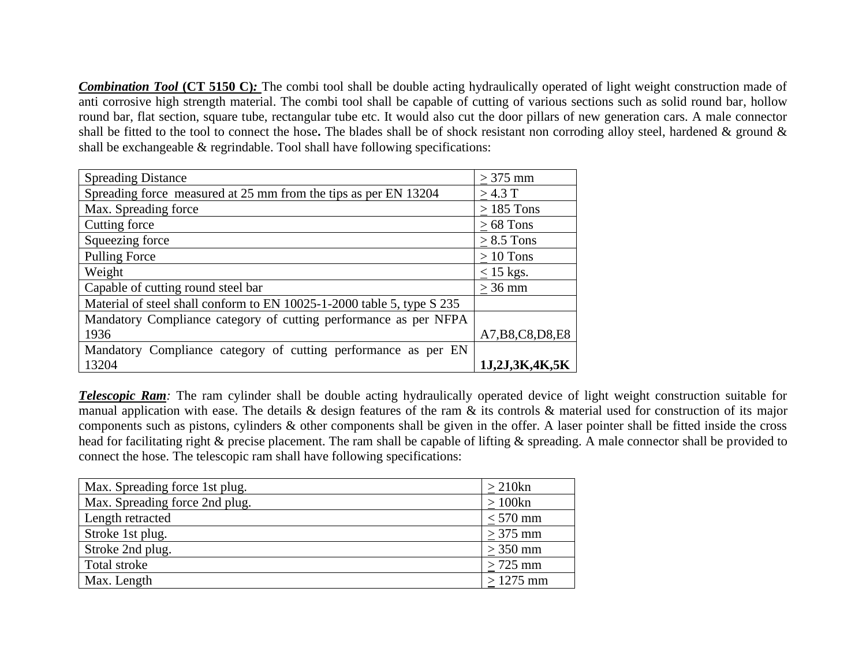**Combination Tool (CT 5150 C):** The combi tool shall be double acting hydraulically operated of light weight construction made of anti corrosive high strength material. The combi tool shall be capable of cutting of various sections such as solid round bar, hollow round bar, flat section, square tube, rectangular tube etc. It would also cut the door pillars of new generation cars. A male connector shall be fitted to the tool to connect the hose**.** The blades shall be of shock resistant non corroding alloy steel, hardened & ground & shall be exchangeable & regrindable. Tool shall have following specifications:

| <b>Spreading Distance</b>                                              | $>375$ mm          |
|------------------------------------------------------------------------|--------------------|
| Spreading force measured at 25 mm from the tips as per EN 13204        | >4.3 T             |
| Max. Spreading force                                                   | $\geq$ 185 Tons    |
| Cutting force                                                          | $>68$ Tons         |
| Squeezing force                                                        | $> 8.5$ Tons       |
| <b>Pulling Force</b>                                                   | $>10$ Tons         |
| Weight                                                                 | $\leq$ 15 kgs.     |
| Capable of cutting round steel bar                                     | $>36$ mm           |
| Material of steel shall conform to EN 10025-1-2000 table 5, type S 235 |                    |
| Mandatory Compliance category of cutting performance as per NFPA       |                    |
| 1936                                                                   | A7, B8, C8, D8, E8 |
| Mandatory Compliance category of cutting performance as per EN         |                    |
| 13204                                                                  | 1J,2J,3K,4K,5K     |

**Telescopic Ram**: The ram cylinder shall be double acting hydraulically operated device of light weight construction suitable for manual application with ease. The details & design features of the ram & its controls & material used for construction of its major components such as pistons, cylinders & other components shall be given in the offer. A laser pointer shall be fitted inside the cross head for facilitating right & precise placement. The ram shall be capable of lifting & spreading. A male connector shall be provided to connect the hose. The telescopic ram shall have following specifications:

| Max. Spreading force 1st plug. | $>210$ kn  |
|--------------------------------|------------|
| Max. Spreading force 2nd plug. | $>100$ kn  |
| Length retracted               | $<$ 570 mm |
| Stroke 1st plug.               | $>375$ mm  |
| Stroke 2nd plug.               | $>350$ mm  |
| Total stroke                   | $>725$ mm  |
| Max. Length                    | $>1275$ mm |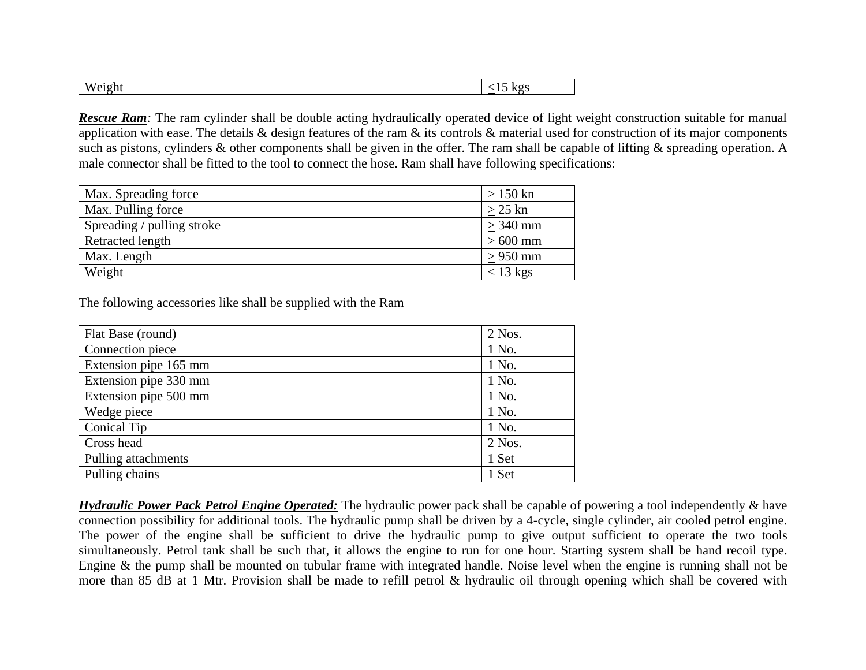| w |  |
|---|--|

*Rescue Ram*: The ram cylinder shall be double acting hydraulically operated device of light weight construction suitable for manual application with ease. The details & design features of the ram & its controls & material used for construction of its major components such as pistons, cylinders & other components shall be given in the offer. The ram shall be capable of lifting & spreading operation. A male connector shall be fitted to the tool to connect the hose. Ram shall have following specifications:

| Max. Spreading force       | $>150$ kn  |
|----------------------------|------------|
| Max. Pulling force         | $>$ 25 kn  |
| Spreading / pulling stroke | $>$ 340 mm |
| Retracted length           | $>600$ mm  |
| Max. Length                | $> 950$ mm |
| Weight                     | $<$ 13 kgs |

The following accessories like shall be supplied with the Ram

| Flat Base (round)     | 2 Nos.   |
|-----------------------|----------|
| Connection piece      | 1 No.    |
| Extension pipe 165 mm | 1 No.    |
| Extension pipe 330 mm | 1 No.    |
| Extension pipe 500 mm | 1 No.    |
| Wedge piece           | 1 No.    |
| Conical Tip           | 1 No.    |
| Cross head            | $2$ Nos. |
| Pulling attachments   | 1 Set    |
| Pulling chains        | 1 Set    |

*Hydraulic Power Pack Petrol Engine Operated:* The hydraulic power pack shall be capable of powering a tool independently & have connection possibility for additional tools. The hydraulic pump shall be driven by a 4-cycle, single cylinder, air cooled petrol engine. The power of the engine shall be sufficient to drive the hydraulic pump to give output sufficient to operate the two tools simultaneously. Petrol tank shall be such that, it allows the engine to run for one hour. Starting system shall be hand recoil type. Engine & the pump shall be mounted on tubular frame with integrated handle. Noise level when the engine is running shall not be more than 85 dB at 1 Mtr. Provision shall be made to refill petrol & hydraulic oil through opening which shall be covered with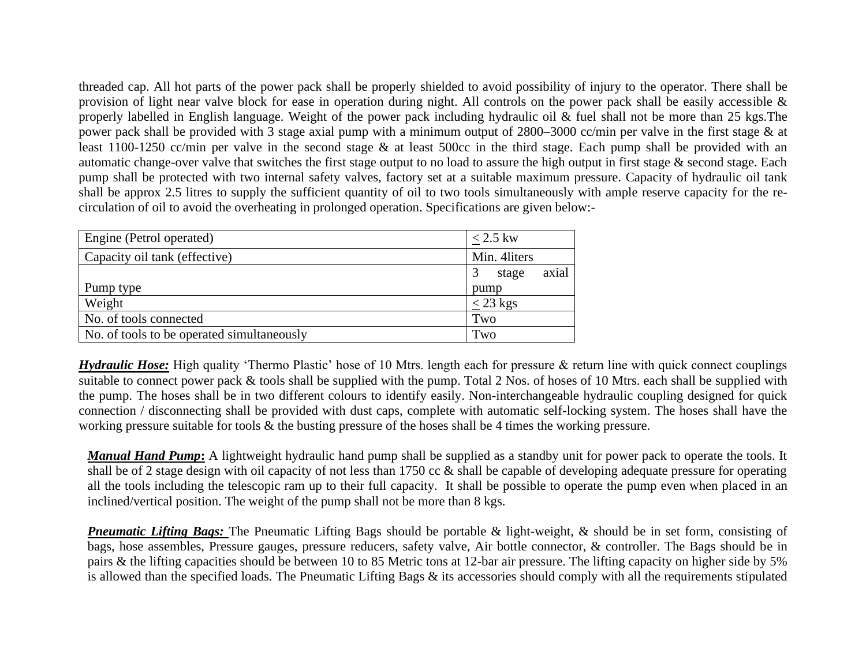threaded cap. All hot parts of the power pack shall be properly shielded to avoid possibility of injury to the operator. There shall be provision of light near valve block for ease in operation during night. All controls on the power pack shall be easily accessible & properly labelled in English language. Weight of the power pack including hydraulic oil & fuel shall not be more than 25 kgs.The power pack shall be provided with 3 stage axial pump with a minimum output of 2800–3000 cc/min per valve in the first stage & at least 1100-1250 cc/min per valve in the second stage & at least 500cc in the third stage. Each pump shall be provided with an automatic change-over valve that switches the first stage output to no load to assure the high output in first stage & second stage. Each pump shall be protected with two internal safety valves, factory set at a suitable maximum pressure. Capacity of hydraulic oil tank shall be approx 2.5 litres to supply the sufficient quantity of oil to two tools simultaneously with ample reserve capacity for the recirculation of oil to avoid the overheating in prolonged operation. Specifications are given below:-

| Engine (Petrol operated)                   | $< 2.5$ kw     |
|--------------------------------------------|----------------|
| Capacity oil tank (effective)              | Min. 4liters   |
|                                            | axial<br>stage |
| Pump type                                  | pump           |
| Weight                                     | $<$ 23 kgs     |
| No. of tools connected                     | Two            |
| No. of tools to be operated simultaneously | Two            |

*Hydraulic Hose:* High quality 'Thermo Plastic' hose of 10 Mtrs. length each for pressure & return line with quick connect couplings suitable to connect power pack & tools shall be supplied with the pump. Total 2 Nos. of hoses of 10 Mtrs. each shall be supplied with the pump. The hoses shall be in two different colours to identify easily. Non-interchangeable hydraulic coupling designed for quick connection / disconnecting shall be provided with dust caps, complete with automatic self-locking system. The hoses shall have the working pressure suitable for tools  $\&$  the busting pressure of the hoses shall be 4 times the working pressure.

*Manual Hand Pump***:** A lightweight hydraulic hand pump shall be supplied as a standby unit for power pack to operate the tools. It shall be of 2 stage design with oil capacity of not less than 1750 cc & shall be capable of developing adequate pressure for operating all the tools including the telescopic ram up to their full capacity. It shall be possible to operate the pump even when placed in an inclined/vertical position. The weight of the pump shall not be more than 8 kgs.

*Pneumatic Lifting Bags:* The Pneumatic Lifting Bags should be portable & light-weight, & should be in set form, consisting of bags, hose assembles, Pressure gauges, pressure reducers, safety valve, Air bottle connector, & controller. The Bags should be in pairs & the lifting capacities should be between 10 to 85 Metric tons at 12-bar air pressure. The lifting capacity on higher side by 5% is allowed than the specified loads. The Pneumatic Lifting Bags  $\&$  its accessories should comply with all the requirements stipulated